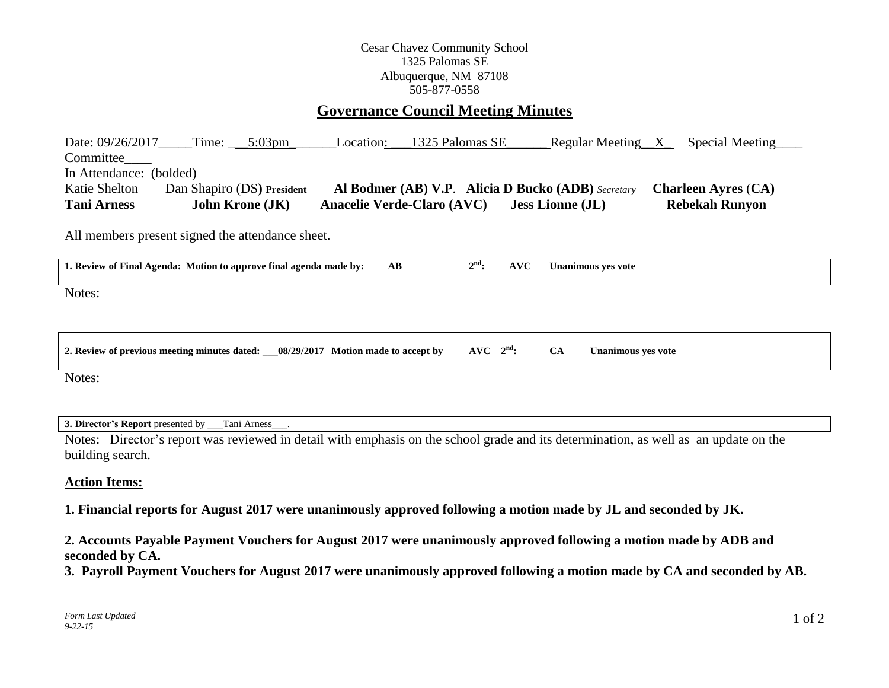## Cesar Chavez Community School 1325 Palomas SE Albuquerque, NM 87108 505-877-0558

# **Governance Council Meeting Minutes**

Date: 09/26/2017\_\_\_\_\_Time: \_\_\_\_5:03pm\_\_\_\_\_\_\_\_Location: \_\_\_1325 Palomas SE\_\_\_\_\_\_\_Regular Meeting\_\_X\_\_\_\_Special Meeting Committee In Attendance: (bolded) Katie Shelton Dan Shapiro (DS**) President Al Bodmer (AB) V.P**. **Alicia D Bucko (ADB)** *Secretary* **Charleen Ayres** (**CA) Tani Arness John Krone (JK) Anacelie Verde-Claro (AVC) Jess Lionne (JL) Rebekah Runyon**

All members present signed the attendance sheet.

| 1. Review of Final Agenda: Motion to approve final agenda made by:                  | AВ | $2nd$ :       | AVC |           | Unanimous ves vote |
|-------------------------------------------------------------------------------------|----|---------------|-----|-----------|--------------------|
| Notes:                                                                              |    |               |     |           |                    |
|                                                                                     |    |               |     |           |                    |
| 08/29/2017 Motion made to accept by<br>2. Review of previous meeting minutes dated: |    | $AVC$ $2nd$ : |     | <b>CA</b> | Unanimous ves vote |

Notes:

**3. Director's Report** presented by \_\_\_Tani Arness\_\_\_.

Notes: Director's report was reviewed in detail with emphasis on the school grade and its determination, as well as an update on the building search.

### **Action Items:**

**1. Financial reports for August 2017 were unanimously approved following a motion made by JL and seconded by JK.**

**2. Accounts Payable Payment Vouchers for August 2017 were unanimously approved following a motion made by ADB and seconded by CA.** 

**3. Payroll Payment Vouchers for August 2017 were unanimously approved following a motion made by CA and seconded by AB.**